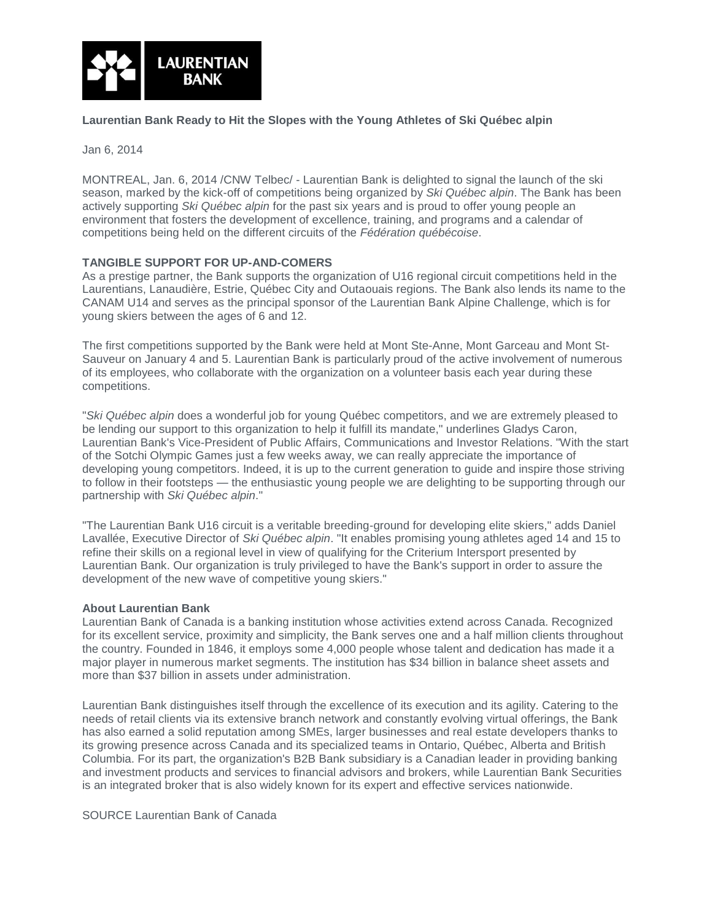

## **Laurentian Bank Ready to Hit the Slopes with the Young Athletes of Ski Québec alpin**

Jan 6, 2014

MONTREAL, Jan. 6, 2014 /CNW Telbec/ - Laurentian Bank is delighted to signal the launch of the ski season, marked by the kick-off of competitions being organized by *Ski Québec alpin*. The Bank has been actively supporting *Ski Québec alpin* for the past six years and is proud to offer young people an environment that fosters the development of excellence, training, and programs and a calendar of competitions being held on the different circuits of the *Fédération québécoise*.

## **TANGIBLE SUPPORT FOR UP-AND-COMERS**

As a prestige partner, the Bank supports the organization of U16 regional circuit competitions held in the Laurentians, Lanaudière, Estrie, Québec City and Outaouais regions. The Bank also lends its name to the CANAM U14 and serves as the principal sponsor of the Laurentian Bank Alpine Challenge, which is for young skiers between the ages of 6 and 12.

The first competitions supported by the Bank were held at Mont Ste-Anne, Mont Garceau and Mont St-Sauveur on January 4 and 5. Laurentian Bank is particularly proud of the active involvement of numerous of its employees, who collaborate with the organization on a volunteer basis each year during these competitions.

"*Ski Québec alpin* does a wonderful job for young Québec competitors, and we are extremely pleased to be lending our support to this organization to help it fulfill its mandate," underlines Gladys Caron, Laurentian Bank's Vice-President of Public Affairs, Communications and Investor Relations. "With the start of the Sotchi Olympic Games just a few weeks away, we can really appreciate the importance of developing young competitors. Indeed, it is up to the current generation to guide and inspire those striving to follow in their footsteps — the enthusiastic young people we are delighting to be supporting through our partnership with *Ski Québec alpin*."

"The Laurentian Bank U16 circuit is a veritable breeding-ground for developing elite skiers," adds Daniel Lavallée, Executive Director of *Ski Québec alpin*. "It enables promising young athletes aged 14 and 15 to refine their skills on a regional level in view of qualifying for the Criterium Intersport presented by Laurentian Bank. Our organization is truly privileged to have the Bank's support in order to assure the development of the new wave of competitive young skiers."

## **About Laurentian Bank**

Laurentian Bank of Canada is a banking institution whose activities extend across Canada. Recognized for its excellent service, proximity and simplicity, the Bank serves one and a half million clients throughout the country. Founded in 1846, it employs some 4,000 people whose talent and dedication has made it a major player in numerous market segments. The institution has \$34 billion in balance sheet assets and more than \$37 billion in assets under administration.

Laurentian Bank distinguishes itself through the excellence of its execution and its agility. Catering to the needs of retail clients via its extensive branch network and constantly evolving virtual offerings, the Bank has also earned a solid reputation among SMEs, larger businesses and real estate developers thanks to its growing presence across Canada and its specialized teams in Ontario, Québec, Alberta and British Columbia. For its part, the organization's B2B Bank subsidiary is a Canadian leader in providing banking and investment products and services to financial advisors and brokers, while Laurentian Bank Securities is an integrated broker that is also widely known for its expert and effective services nationwide.

SOURCE Laurentian Bank of Canada